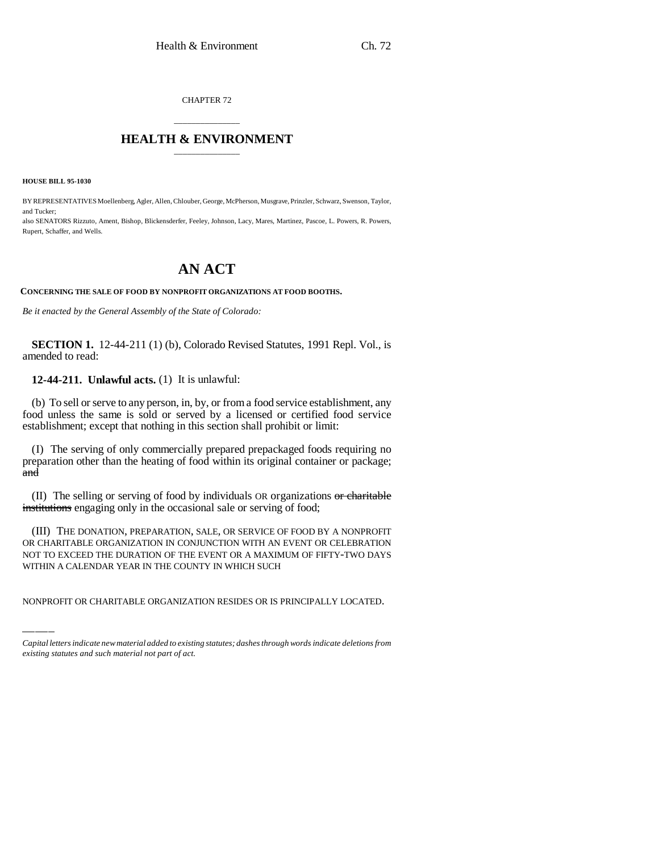CHAPTER 72

## \_\_\_\_\_\_\_\_\_\_\_\_\_\_\_ **HEALTH & ENVIRONMENT** \_\_\_\_\_\_\_\_\_\_\_\_\_\_\_

**HOUSE BILL 95-1030**

BY REPRESENTATIVES Moellenberg, Agler, Allen, Chlouber, George, McPherson, Musgrave, Prinzler, Schwarz, Swenson, Taylor, and Tucker;

also SENATORS Rizzuto, Ament, Bishop, Blickensderfer, Feeley, Johnson, Lacy, Mares, Martinez, Pascoe, L. Powers, R. Powers, Rupert, Schaffer, and Wells.

## **AN ACT**

## **CONCERNING THE SALE OF FOOD BY NONPROFIT ORGANIZATIONS AT FOOD BOOTHS.**

*Be it enacted by the General Assembly of the State of Colorado:*

**SECTION 1.** 12-44-211 (1) (b), Colorado Revised Statutes, 1991 Repl. Vol., is amended to read:

**12-44-211. Unlawful acts.** (1) It is unlawful:

(b) To sell or serve to any person, in, by, or from a food service establishment, any food unless the same is sold or served by a licensed or certified food service establishment; except that nothing in this section shall prohibit or limit:

(I) The serving of only commercially prepared prepackaged foods requiring no preparation other than the heating of food within its original container or package; a<del>nd</del>

(II) The selling or serving of food by individuals OR organizations or charitable institutions engaging only in the occasional sale or serving of food;

NOT TO EXCEED THE DURATION OF THE EVENT OR A MAXIMUM OF FIFTY-TWO DAYS (III) THE DONATION, PREPARATION, SALE, OR SERVICE OF FOOD BY A NONPROFIT OR CHARITABLE ORGANIZATION IN CONJUNCTION WITH AN EVENT OR CELEBRATION WITHIN A CALENDAR YEAR IN THE COUNTY IN WHICH SUCH

NONPROFIT OR CHARITABLE ORGANIZATION RESIDES OR IS PRINCIPALLY LOCATED.

*Capital letters indicate new material added to existing statutes; dashes through words indicate deletions from existing statutes and such material not part of act.*